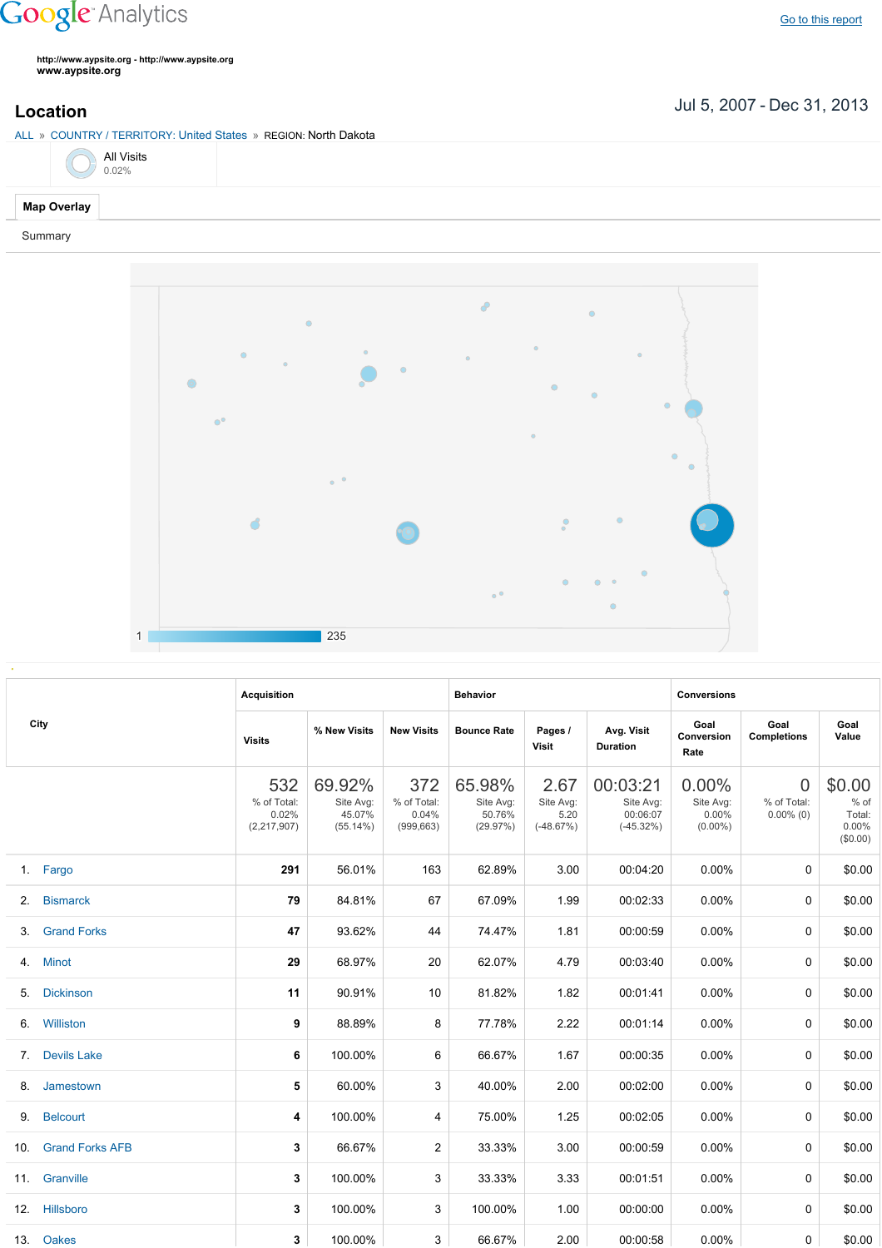## **Google** Analytics

**http://www.aypsite.org http://www.aypsite.org www.aypsite.org**

Jul 5, 2007 Dec 31, 2013 **Location**

ALL » COUNTRY / TERRITORY: United States » REGION: North Dakota

|  | <b>All Visits</b><br>0.02% |
|--|----------------------------|
|  |                            |

## **Map Overlay**

Summary



|      | <b>Acquisition</b>     |                                            |                                              | <b>Behavior</b>                           |                                           |                                          | <b>Conversions</b>                               |                                              |                                               |                                                    |
|------|------------------------|--------------------------------------------|----------------------------------------------|-------------------------------------------|-------------------------------------------|------------------------------------------|--------------------------------------------------|----------------------------------------------|-----------------------------------------------|----------------------------------------------------|
| City |                        | <b>Visits</b>                              | % New Visits                                 | <b>New Visits</b>                         | <b>Bounce Rate</b>                        | Pages /<br><b>Visit</b>                  | Avg. Visit<br><b>Duration</b>                    | Goal<br>Conversion<br>Rate                   | Goal<br><b>Completions</b>                    | Goal<br>Value                                      |
|      |                        | 532<br>% of Total:<br>0.02%<br>(2,217,907) | 69.92%<br>Site Avg:<br>45.07%<br>$(55.14\%)$ | 372<br>% of Total:<br>0.04%<br>(999, 663) | 65.98%<br>Site Avg:<br>50.76%<br>(29.97%) | 2.67<br>Site Avg:<br>5.20<br>$(-48.67%)$ | 00:03:21<br>Site Avg:<br>00:06:07<br>$(-45.32%)$ | 0.00%<br>Site Avg:<br>$0.00\%$<br>$(0.00\%)$ | $\overline{0}$<br>% of Total:<br>$0.00\%$ (0) | \$0.00<br>$%$ of<br>Total:<br>$0.00\%$<br>(\$0.00) |
|      | 1. Fargo               | 291                                        | 56.01%                                       | 163                                       | 62.89%                                    | 3.00                                     | 00:04:20                                         | 0.00%                                        | $\Omega$                                      | \$0.00                                             |
| 2.   | <b>Bismarck</b>        | 79                                         | 84.81%                                       | 67                                        | 67.09%                                    | 1.99                                     | 00:02:33                                         | 0.00%                                        | 0                                             | \$0.00                                             |
| 3.   | <b>Grand Forks</b>     | 47                                         | 93.62%                                       | 44                                        | 74.47%                                    | 1.81                                     | 00:00:59                                         | 0.00%                                        | $\Omega$                                      | \$0.00                                             |
|      | 4. Minot               | 29                                         | 68.97%                                       | 20                                        | 62.07%                                    | 4.79                                     | 00:03:40                                         | 0.00%                                        | $\Omega$                                      | \$0.00                                             |
| 5.   | <b>Dickinson</b>       | 11                                         | 90.91%                                       | 10                                        | 81.82%                                    | 1.82                                     | 00:01:41                                         | 0.00%                                        | $\Omega$                                      | \$0.00                                             |
| 6.   | Williston              | 9                                          | 88.89%                                       | 8                                         | 77.78%                                    | 2.22                                     | 00:01:14                                         | 0.00%                                        | $\Omega$                                      | \$0.00                                             |
| 7.   | <b>Devils Lake</b>     | 6                                          | 100.00%                                      | 6                                         | 66.67%                                    | 1.67                                     | 00:00:35                                         | 0.00%                                        | $\Omega$                                      | \$0.00                                             |
| 8.   | Jamestown              | 5                                          | 60.00%                                       | 3                                         | 40.00%                                    | 2.00                                     | 00:02:00                                         | 0.00%                                        | $\Omega$                                      | \$0.00                                             |
| 9.   | <b>Belcourt</b>        | 4                                          | 100.00%                                      | 4                                         | 75.00%                                    | 1.25                                     | 00:02:05                                         | 0.00%                                        | 0                                             | \$0.00                                             |
| 10.  | <b>Grand Forks AFB</b> | 3                                          | 66.67%                                       | 2                                         | 33.33%                                    | 3.00                                     | 00:00:59                                         | 0.00%                                        | $\Omega$                                      | \$0.00                                             |
|      | 11. Granville          | 3                                          | 100.00%                                      | 3                                         | 33.33%                                    | 3.33                                     | 00:01:51                                         | 0.00%                                        | 0                                             | \$0.00                                             |
|      | 12. Hillsboro          | 3                                          | 100.00%                                      | 3                                         | 100.00%                                   | 1.00                                     | 00:00:00                                         | 0.00%                                        | $\Omega$                                      | \$0.00                                             |
|      | 13. Oakes              | 3                                          | 100.00%                                      | 3                                         | 66.67%                                    | 2.00                                     | 00:00:58                                         | $0.00\%$                                     | 0                                             | \$0.00                                             |